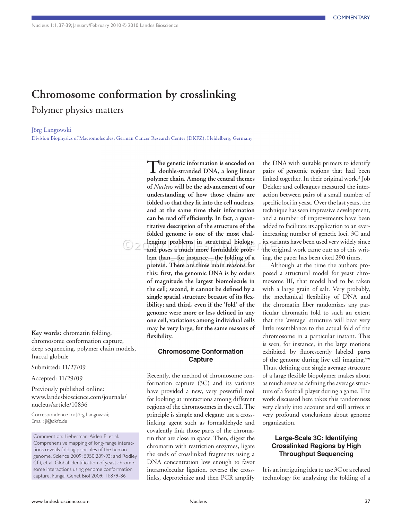# **Chromosome conformation by crosslinking**

Polymer physics matters

Jörg Langowski

Division Biophysics of Macromolecules; German Cancer Research Center (DKFZ); Heidelberg, Germany

**Key words:** chromatin folding, chromosome conformation capture, deep sequencing, polymer chain models, fractal globule

Submitted: 11/27/09

Accepted: 11/29/09

Previously published online: www.landesbioscience.com/journals/ nucleus/article/10836

Correspondence to: Jörg Langowski; Email: jl@dkfz.de

Comment on: Lieberman-Aiden E, et al. Comprehensive mapping of long-range interactions reveals folding principles of the human genome. Science 2009; 5950:289-93; and Rodley CD, et al. Global identification of yeast chromosome interactions using genome conformation capture. Fungal Genet Biol 2009; 11:879-86

**The genetic information is encoded on double-stranded DNA, a long linear polymer chain. Among the central themes of** *Nucleus* **will be the advancement of our understanding of how those chains are folded so that they fit into the cell nucleus, and at the same time their information can be read off efficiently. In fact, a quantitative description of the structure of the folded genome is one of the most chal**lenging problems in structural biology, **and poses a much more formidable problem than—for instance—the folding of a protein. There are three main reasons for this: first, the genomic DNA is by orders of magnitude the largest biomolecule in the cell; second, it cannot be defined by a single spatial structure because of its flexibility; and third, even if the 'fold' of the genome were more or less defined in any one cell, variations among individual cells may be very large, for the same reasons of flexibility.**

## **Chromosome Conformation Capture**

Recently, the method of chromosome conformation capture (3C) and its variants have provided a new, very powerful tool for looking at interactions among different regions of the chromosomes in the cell. The principle is simple and elegant: use a crosslinking agent such as formaldehyde and covalently link those parts of the chromatin that are close in space. Then, digest the chromatin with restriction enzymes, ligate the ends of crosslinked fragments using a DNA concentration low enough to favor intramolecular ligation, reverse the crosslinks, deproteinize and then PCR amplify

the DNA with suitable primers to identify pairs of genomic regions that had been linked together. In their original work,<sup>3</sup> Job Dekker and colleagues measured the interaction between pairs of a small number of specific loci in yeast. Over the last years, the technique has seen impressive development, and a number of improvements have been added to facilitate its application to an everincreasing number of genetic loci. 3C and its variants have been used very widely since the original work came out; as of this writing, the paper has been cited 290 times.

Although at the time the authors proposed a structural model for yeast chromosome III, that model had to be taken with a large grain of salt. Very probably, the mechanical flexibility of DNA and the chromatin fiber randomizes any particular chromatin fold to such an extent that the 'average' structure will bear very little resemblance to the actual fold of the chromosome in a particular instant. This is seen, for instance, in the large motions exhibited by fluorescently labeled parts of the genome during live cell imaging.<sup>4-6</sup> Thus, defining one single average structure of a large flexible biopolymer makes about as much sense as defining the average structure of a football player during a game. The work discussed here takes this randomness very clearly into account and still arrives at very profound conclusions about genome organization.

#### **Large-Scale 3C: Identifying Crosslinked Regions by High Throughput Sequencing**

It is an intriguing idea to use 3C or a related technology for analyzing the folding of a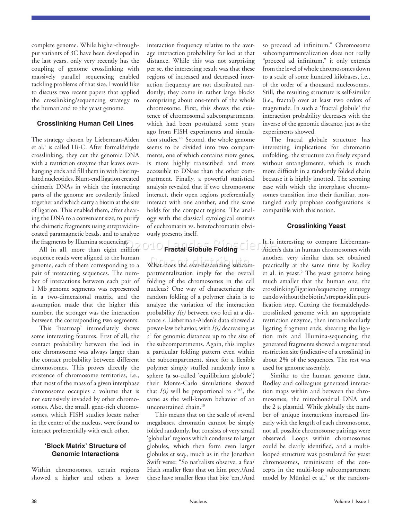complete genome. While higher-throughput variants of 3C have been developed in the last years, only very recently has the coupling of genome crosslinking with massively parallel sequencing enabled tackling problems of that size. I would like to discuss two recent papers that applied the crosslinking/sequencing strategy to the human and to the yeast genome.

#### **Crosslinking Human Cell Lines**

The strategy chosen by Lieberman-Aiden et al.<sup>1</sup> is called Hi-C. After formaldehyde crosslinking, they cut the genomic DNA with a restriction enzyme that leaves overhanging ends and fill them in with biotinylated nucleotides. Blunt-end ligation created chimeric DNAs in which the interacting parts of the genome are covalently linked together and which carry a biotin at the site of ligation. This enabled them, after shearing the DNA to a convenient size, to purify the chimeric fragments using streptavidincoated paramagnetic beads, and to analyze the fragments by Illumina sequencing.

All in all, more than eight million sequence reads were aligned to the human genome, each of them corresponding to a pair of interacting sequences. The number of interactions between each pair of 1 Mb genome segments was represented in a two-dimensional matrix, and the assumption made that the higher this number, the stronger was the interaction between the corresponding two segments.

This 'heatmap' immediately shows some interesting features. First of all, the contact probability between the loci in one chromosome was always larger than the contact probability between different chromosomes. This proves directly the existence of chromosome territories, i.e., that most of the mass of a given interphase chromosome occupies a volume that is not extensively invaded by other chromosomes. Also, the small, gene-rich chromosomes, which FISH studies locate rather in the center of the nucleus, were found to interact preferentially with each other.

### **'Block Matrix' Structure of Genomic Interactions**

Within chromosomes, certain regions showed a higher and others a lower

interaction frequency relative to the average interaction probability for loci at that distance. While this was not surprising per se, the interesting result was that these regions of increased and decreased interaction frequency are not distributed randomly; they come in rather large blocks comprising about one-tenth of the whole chromosome. First, this shows the existence of chromosomal subcompartments, which had been postulated some years ago from FISH experiments and simulation studies.7-9 Second, the whole genome seems to be divided into two compartments, one of which contains more genes, is more highly transcribed and more accessible to DNase than the other compartment. Finally, a powerful statistical analysis revealed that if two chromosome interact, their open regions preferentially interact with one another, and the same holds for the compact regions. The analogy with the classical cytological entities of euchromatin vs. heterochromatin obviously presents itself.

What does the ever-descending subcompartmentalization imply for the overall folding of the chromosomes in the cell nucleus? One way of characterizing the random folding of a polymer chain is to analyze the variation of the interaction probability *I(s)* between two loci at a distance *s*. Lieberman-Aiden's data showed a power-law behavior, with *I(s)* decreasing as *s* -1 for genomic distances up to the size of the subcompartments. Again, this implies a particular folding pattern even within the subcompartment, since for a flexible polymer simply stuffed randomly into a sphere (a so-called 'equilibrium globule') their Monte-Carlo simulations showed that  $I(s)$  will be proportional to  $s^{-3/2}$ , the same as the well-known behavior of an unconstrained chain.<sup>10</sup>

**Fractal Globule Folding**

This means that on the scale of several megabases, chromatin cannot be simply folded randomly, but consists of very small 'globular' regions which condense to larger globules, which then form even larger globules et seq., much as in the Jonathan Swift verse: "So nat'ralists observe, a flea/ Hath smaller fleas that on him prey,/And these have smaller fleas that bite 'em,/And

so proceed ad infinitum." Chromosome subcompartmentalization does not really "proceed ad infinitum," it only extends from the level of whole chromosomes down to a scale of some hundred kilobases, i.e., of the order of a thousand nucleosomes. Still, the resulting structure is self-similar (i.e., fractal) over at least two orders of magnitude. In such a 'fractal globule' the interaction probability decreases with the inverse of the genomic distance, just as the experiments showed.

The fractal globule structure has interesting implications for chromatin unfolding: the structure can freely expand without entanglements, which is much more difficult in a randomly folded chain because it is highly knotted. The seeming ease with which the interphase chromosomes transition into their familiar, nontangled early prophase configurations is compatible with this notion.

### **Crosslinking Yeast**

It is interesting to compare Lieberman-Aiden's data in human chromosomes with another, very similar data set obtained practically at the same time by Rodley et al. in yeast.<sup>2</sup> The yeast genome being much smaller that the human one, the crosslinking/ligation/sequencing strategy can do without the biotin/streptavidin purification step. Cutting the formaldehydecrosslinked genome with an appropriate restriction enzyme, then intramolecularly ligating fragment ends, shearing the ligation mix and Illumina-sequencing the generated fragments showed a regenerated restriction site (indicative of a crosslink) in about 2% of the sequences. The rest was used for genome assembly.

Similar to the human genome data, Rodley and colleagues generated interaction maps within and between the chromosomes, the mitochondrial DNA and the 2 µ plasmid. While globally the number of unique interactions increased linearly with the length of each chromosome, not all possible chromosome pairings were observed. Loops within chromosomes could be clearly identified, and a multilooped structure was postulated for yeast chromosomes, reminiscent of the concepts in the multi-loop subcompartment model by Münkel et al.7 or the random-